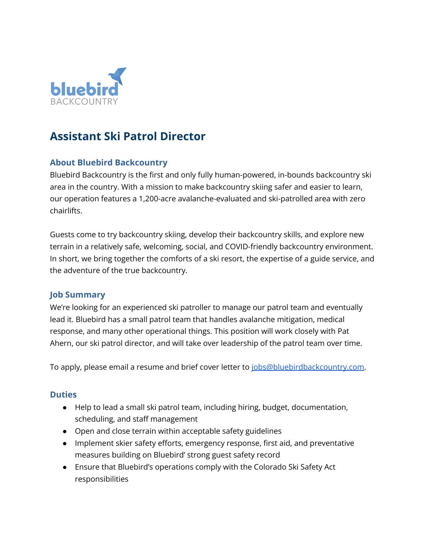

# **Assistant Ski Patrol Director**

# **About Bluebird Backcountry**

Bluebird Backcountry is the first and only fully human-powered, in-bounds backcountry ski area in the country. With a mission to make backcountry skiing safer and easier to learn, our operation features a 1,200-acre avalanche-evaluated and ski-patrolled area with zero chairlifts.

Guests come to try backcountry skiing, develop their backcountry skills, and explore new terrain in a relatively safe, welcoming, social, and COVID-friendly backcountry environment. In short, we bring together the comforts of a ski resort, the expertise of a guide service, and the adventure of the true backcountry.

#### **Job Summary**

We're looking for an experienced ski patroller to manage our patrol team and eventually lead it. Bluebird has a small patrol team that handles avalanche mitigation, medical response, and many other operational things. This position will work closely with Pat Ahern, our ski patrol director, and will take over leadership of the patrol team over time.

To apply, please email a resume and brief cover letter to [jobs@bluebirdbackcountry.com.](mailto:jobs@bluebirdbackcountry.com)

#### **Duties**

- Help to lead a small ski patrol team, including hiring, budget, documentation, scheduling, and staff management
- Open and close terrain within acceptable safety guidelines
- Implement skier safety efforts, emergency response, first aid, and preventative measures building on Bluebird' strong guest safety record
- Ensure that Bluebird's operations comply with the Colorado Ski Safety Act responsibilities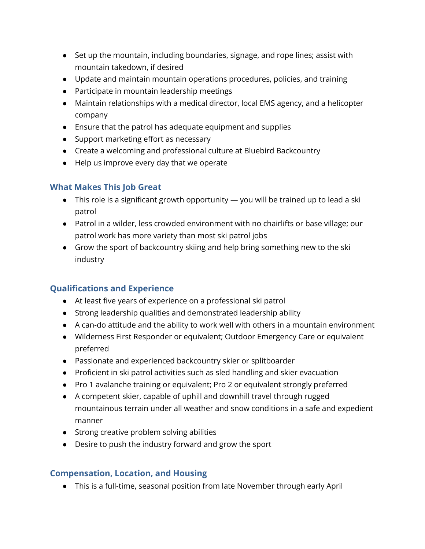- Set up the mountain, including boundaries, signage, and rope lines; assist with mountain takedown, if desired
- Update and maintain mountain operations procedures, policies, and training
- Participate in mountain leadership meetings
- Maintain relationships with a medical director, local EMS agency, and a helicopter company
- Ensure that the patrol has adequate equipment and supplies
- Support marketing effort as necessary
- Create a welcoming and professional culture at Bluebird Backcountry
- Help us improve every day that we operate

## **What Makes This Job Great**

- This role is a significant growth opportunity you will be trained up to lead a ski patrol
- Patrol in a wilder, less crowded environment with no chairlifts or base village; our patrol work has more variety than most ski patrol jobs
- Grow the sport of backcountry skiing and help bring something new to the ski industry

# **Qualifications and Experience**

- At least five years of experience on a professional ski patrol
- Strong leadership qualities and demonstrated leadership ability
- A can-do attitude and the ability to work well with others in a mountain environment
- Wilderness First Responder or equivalent; Outdoor Emergency Care or equivalent preferred
- Passionate and experienced backcountry skier or splitboarder
- Proficient in ski patrol activities such as sled handling and skier evacuation
- Pro 1 avalanche training or equivalent; Pro 2 or equivalent strongly preferred
- A competent skier, capable of uphill and downhill travel through rugged mountainous terrain under all weather and snow conditions in a safe and expedient manner
- Strong creative problem solving abilities
- Desire to push the industry forward and grow the sport

## **Compensation, Location, and Housing**

● This is a full-time, seasonal position from late November through early April